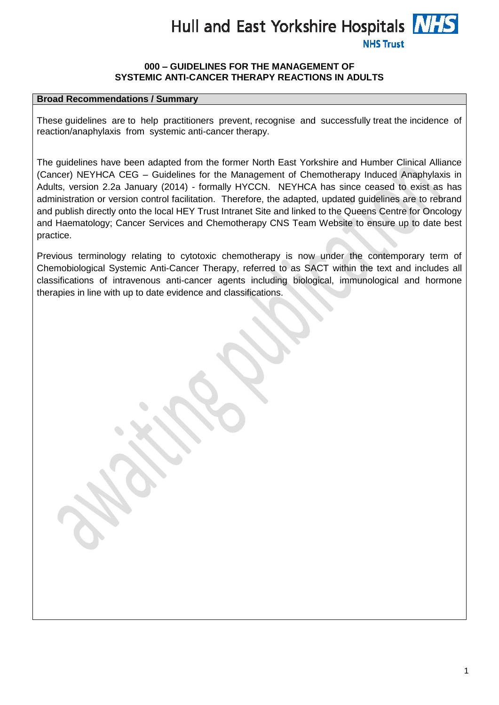# Hull and East Yorkshire Hospitals **NHS NHS Trust**

#### **000 – GUIDELINES FOR THE MANAGEMENT OF SYSTEMIC ANTI-CANCER THERAPY REACTIONS IN ADULTS**

#### **Broad Recommendations / Summary**

These guidelines are to help practitioners prevent, recognise and successfully treat the incidence of reaction/anaphylaxis from systemic anti-cancer therapy.

The guidelines have been adapted from the former North East Yorkshire and Humber Clinical Alliance (Cancer) NEYHCA CEG – Guidelines for the Management of Chemotherapy Induced Anaphylaxis in Adults, version 2.2a January (2014) - formally HYCCN. NEYHCA has since ceased to exist as has administration or version control facilitation. Therefore, the adapted, updated guidelines are to rebrand and publish directly onto the local HEY Trust Intranet Site and linked to the Queens Centre for Oncology and Haematology; Cancer Services and Chemotherapy CNS Team Website to ensure up to date best practice.

Previous terminology relating to cytotoxic chemotherapy is now under the contemporary term of Chemobiological Systemic Anti-Cancer Therapy, referred to as SACT within the text and includes all classifications of intravenous anti-cancer agents including biological, immunological and hormone therapies in line with up to date evidence and classifications.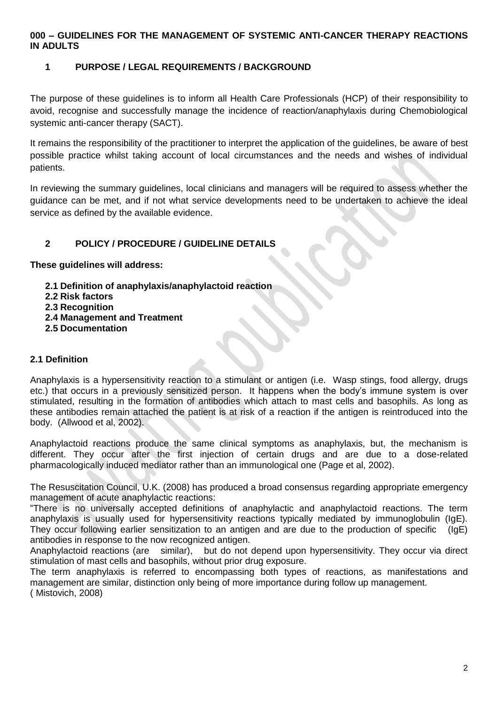## **000 – GUIDELINES FOR THE MANAGEMENT OF SYSTEMIC ANTI-CANCER THERAPY REACTIONS IN ADULTS**

## **1 PURPOSE / LEGAL REQUIREMENTS / BACKGROUND**

The purpose of these guidelines is to inform all Health Care Professionals (HCP) of their responsibility to avoid, recognise and successfully manage the incidence of reaction/anaphylaxis during Chemobiological systemic anti-cancer therapy (SACT).

It remains the responsibility of the practitioner to interpret the application of the guidelines, be aware of best possible practice whilst taking account of local circumstances and the needs and wishes of individual patients.

In reviewing the summary guidelines, local clinicians and managers will be required to assess whether the guidance can be met, and if not what service developments need to be undertaken to achieve the ideal service as defined by the available evidence.

## **2 POLICY / PROCEDURE / GUIDELINE DETAILS**

**These guidelines will address:**

- **2.1 Definition of anaphylaxis/anaphylactoid reaction**
- **2.2 Risk factors**
- **2.3 Recognition**
- **2.4 Management and Treatment**
- **2.5 Documentation**

#### **2.1 Definition**

Anaphylaxis is a hypersensitivity reaction to a stimulant or antigen (i.e. Wasp stings, food allergy, drugs etc.) that occurs in a previously sensitized person. It happens when the body's immune system is over stimulated, resulting in the formation of antibodies which attach to mast cells and basophils. As long as these antibodies remain attached the patient is at risk of a reaction if the antigen is reintroduced into the body. (Allwood et al, 2002).

Anaphylactoid reactions produce the same clinical symptoms as anaphylaxis, but, the mechanism is different. They occur after the first injection of certain drugs and are due to a dose-related pharmacologically induced mediator rather than an immunological one (Page et al, 2002).

The Resuscitation Council, U.K. (2008) has produced a broad consensus regarding appropriate emergency management of acute anaphylactic reactions:

"There is no universally accepted definitions of anaphylactic and anaphylactoid reactions. The term anaphylaxis is usually used for hypersensitivity reactions typically mediated by immunoglobulin (IgE). They occur following earlier sensitization to an antigen and are due to the production of specific (IgE) antibodies in response to the now recognized antigen.

Anaphylactoid reactions (are similar), but do not depend upon hypersensitivity. They occur via direct stimulation of mast cells and basophils, without prior drug exposure.

The term anaphylaxis is referred to encompassing both types of reactions, as manifestations and management are similar, distinction only being of more importance during follow up management. ( Mistovich, 2008)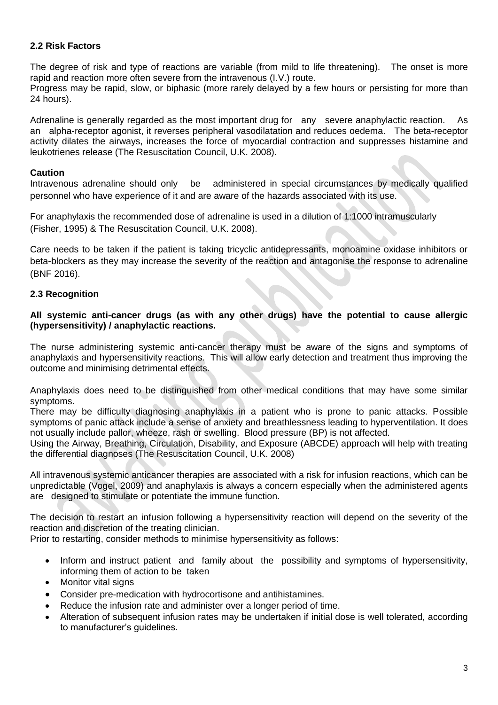## **2.2 Risk Factors**

The degree of risk and type of reactions are variable (from mild to life threatening). The onset is more rapid and reaction more often severe from the intravenous (I.V.) route.

Progress may be rapid, slow, or biphasic (more rarely delayed by a few hours or persisting for more than 24 hours).

Adrenaline is generally regarded as the most important drug for any severe anaphylactic reaction. As an alpha-receptor agonist, it reverses peripheral vasodilatation and reduces oedema. The beta-receptor activity dilates the airways, increases the force of myocardial contraction and suppresses histamine and leukotrienes release (The Resuscitation Council, U.K. 2008).

## **Caution**

Intravenous adrenaline should only be administered in special circumstances by medically qualified personnel who have experience of it and are aware of the hazards associated with its use.

For anaphylaxis the recommended dose of adrenaline is used in a dilution of 1:1000 intramuscularly (Fisher, 1995) & The Resuscitation Council, U.K. 2008).

Care needs to be taken if the patient is taking tricyclic antidepressants, monoamine oxidase inhibitors or beta-blockers as they may increase the severity of the reaction and antagonise the response to adrenaline (BNF 2016).

## **2.3 Recognition**

## **All systemic anti-cancer drugs (as with any other drugs) have the potential to cause allergic (hypersensitivity) / anaphylactic reactions.**

The nurse administering systemic anti-cancer therapy must be aware of the signs and symptoms of anaphylaxis and hypersensitivity reactions. This will allow early detection and treatment thus improving the outcome and minimising detrimental effects.

Anaphylaxis does need to be distinguished from other medical conditions that may have some similar symptoms.

There may be difficulty diagnosing anaphylaxis in a patient who is prone to panic attacks. Possible symptoms of panic attack include a sense of anxiety and breathlessness leading to hyperventilation. It does not usually include pallor, wheeze, rash or swelling. Blood pressure (BP) is not affected.

Using the Airway, Breathing, Circulation, Disability, and Exposure (ABCDE) approach will help with treating the differential diagnoses (The Resuscitation Council, U.K. 2008)

All intravenous systemic anticancer therapies are associated with a risk for infusion reactions, which can be unpredictable (Vogel, 2009) and anaphylaxis is always a concern especially when the administered agents are designed to stimulate or potentiate the immune function.

The decision to restart an infusion following a hypersensitivity reaction will depend on the severity of the reaction and discretion of the treating clinician.

Prior to restarting, consider methods to minimise hypersensitivity as follows:

- Inform and instruct patient and family about the possibility and symptoms of hypersensitivity, informing them of action to be taken
- Monitor vital signs
- Consider pre-medication with hydrocortisone and antihistamines.
- Reduce the infusion rate and administer over a longer period of time.
- Alteration of subsequent infusion rates may be undertaken if initial dose is well tolerated, according to manufacturer's guidelines.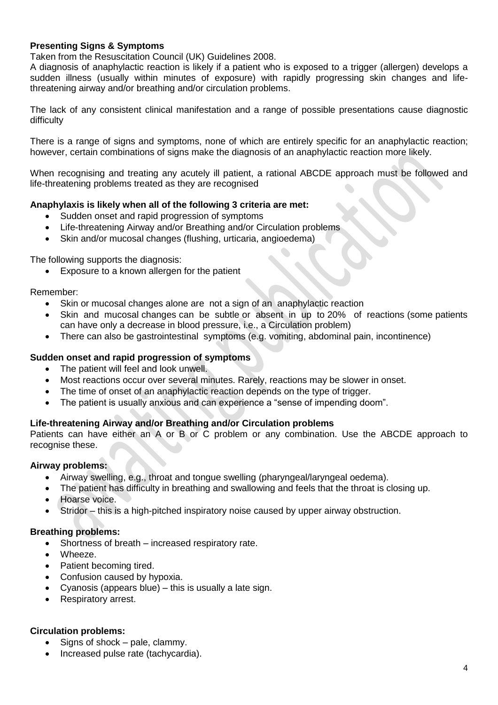## **Presenting Signs & Symptoms**

Taken from the Resuscitation Council (UK) Guidelines 2008.

A diagnosis of anaphylactic reaction is likely if a patient who is exposed to a trigger (allergen) develops a sudden illness (usually within minutes of exposure) with rapidly progressing skin changes and lifethreatening airway and/or breathing and/or circulation problems.

The lack of any consistent clinical manifestation and a range of possible presentations cause diagnostic difficulty

There is a range of signs and symptoms, none of which are entirely specific for an anaphylactic reaction; however, certain combinations of signs make the diagnosis of an anaphylactic reaction more likely.

When recognising and treating any acutely ill patient, a rational ABCDE approach must be followed and life-threatening problems treated as they are recognised

## **Anaphylaxis is likely when all of the following 3 criteria are met:**

- Sudden onset and rapid progression of symptoms
- Life-threatening Airway and/or Breathing and/or Circulation problems
- Skin and/or mucosal changes (flushing, urticaria, angioedema)

The following supports the diagnosis:

Exposure to a known allergen for the patient

## Remember:

- Skin or mucosal changes alone are not a sign of an anaphylactic reaction
- Skin and mucosal changes can be subtle or absent in up to 20% of reactions (some patients can have only a decrease in blood pressure, i.e., a Circulation problem)
- There can also be gastrointestinal symptoms (e.g. vomiting, abdominal pain, incontinence)

## **Sudden onset and rapid progression of symptoms**

- The patient will feel and look unwell.
- Most reactions occur over several minutes. Rarely, reactions may be slower in onset.
- The time of onset of an anaphylactic reaction depends on the type of trigger.
- The patient is usually anxious and can experience a "sense of impending doom".

## **Life-threatening Airway and/or Breathing and/or Circulation problems**

Patients can have either an A or B or C problem or any combination. Use the ABCDE approach to recognise these.

#### **Airway problems:**

- Airway swelling, e.g., throat and tongue swelling (pharyngeal/laryngeal oedema).
- The patient has difficulty in breathing and swallowing and feels that the throat is closing up.
- Hoarse voice.
- Stridor this is a high-pitched inspiratory noise caused by upper airway obstruction.

#### **Breathing problems:**

- Shortness of breath increased respiratory rate.
- Wheeze.
- Patient becoming tired.
- Confusion caused by hypoxia.
- Cyanosis (appears blue) this is usually a late sign.
- Respiratory arrest.

## **Circulation problems:**

- Signs of shock pale, clammy.
- Increased pulse rate (tachycardia).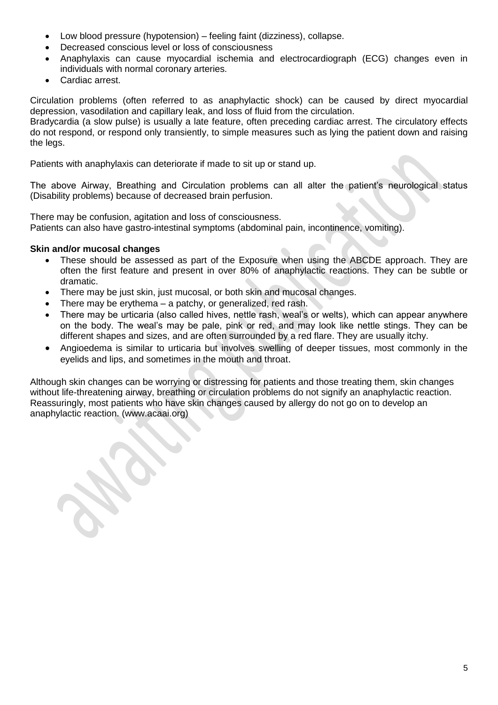- Low blood pressure (hypotension) feeling faint (dizziness), collapse.
- Decreased conscious level or loss of consciousness
- Anaphylaxis can cause myocardial ischemia and electrocardiograph (ECG) changes even in individuals with normal coronary arteries.
- Cardiac arrest.

Circulation problems (often referred to as anaphylactic shock) can be caused by direct myocardial depression, vasodilation and capillary leak, and loss of fluid from the circulation.

Bradycardia (a slow pulse) is usually a late feature, often preceding cardiac arrest. The circulatory effects do not respond, or respond only transiently, to simple measures such as lying the patient down and raising the legs.

Patients with anaphylaxis can deteriorate if made to sit up or stand up.

The above Airway, Breathing and Circulation problems can all alter the patient's neurological status (Disability problems) because of decreased brain perfusion.

There may be confusion, agitation and loss of consciousness.

Patients can also have gastro-intestinal symptoms (abdominal pain, incontinence, vomiting).

#### **Skin and/or mucosal changes**

- These should be assessed as part of the Exposure when using the ABCDE approach. They are often the first feature and present in over 80% of anaphylactic reactions. They can be subtle or dramatic.
- There may be just skin, just mucosal, or both skin and mucosal changes.
- There may be erythema a patchy, or generalized, red rash.
- There may be urticaria (also called hives, nettle rash, weal's or welts), which can appear anywhere on the body. The weal's may be pale, pink or red, and may look like nettle stings. They can be different shapes and sizes, and are often surrounded by a red flare. They are usually itchy.
- Angioedema is similar to urticaria but involves swelling of deeper tissues, most commonly in the eyelids and lips, and sometimes in the mouth and throat.

Although skin changes can be worrying or distressing for patients and those treating them, skin changes without life-threatening airway, breathing or circulation problems do not signify an anaphylactic reaction. Reassuringly, most patients who have skin changes caused by allergy do not go on to develop an anaphylactic reaction. (www.acaai.org)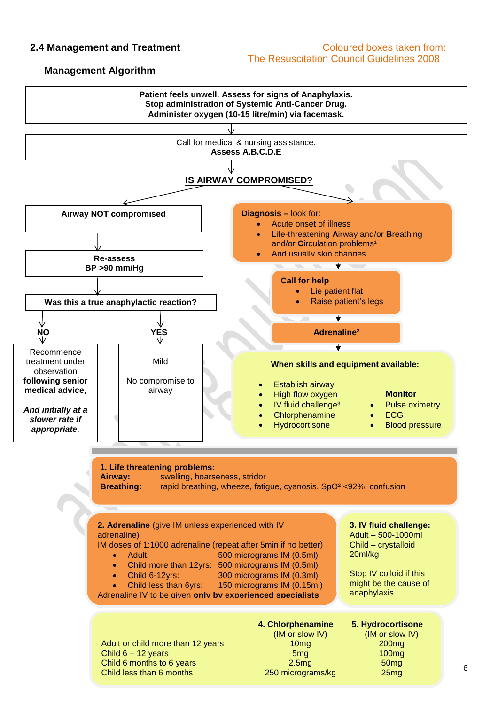## **2.4 Management and Treatment Coloured boxes taken from:** The Resuscitation Council Guidelines 2008

## **Management Algorithm**

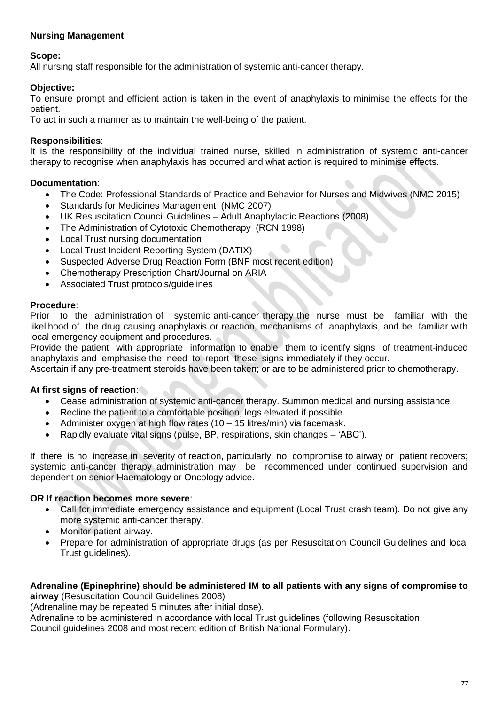## **Nursing Management**

## **Scope:**

All nursing staff responsible for the administration of systemic anti-cancer therapy.

## **Objective:**

To ensure prompt and efficient action is taken in the event of anaphylaxis to minimise the effects for the patient.

To act in such a manner as to maintain the well-being of the patient.

## **Responsibilities**:

It is the responsibility of the individual trained nurse, skilled in administration of systemic anti-cancer therapy to recognise when anaphylaxis has occurred and what action is required to minimise effects.

## **Documentation**:

- The Code: Professional Standards of Practice and Behavior for Nurses and Midwives (NMC 2015)
- Standards for Medicines Management (NMC 2007)
- UK Resuscitation Council Guidelines Adult Anaphylactic Reactions (2008)
- The Administration of Cytotoxic Chemotherapy (RCN 1998)
- Local Trust nursing documentation
- Local Trust Incident Reporting System (DATIX)
- Suspected Adverse Drug Reaction Form (BNF most recent edition)
- Chemotherapy Prescription Chart/Journal on ARIA
- Associated Trust protocols/guidelines

## **Procedure**:

Prior to the administration of systemic anti-cancer therapy the nurse must be familiar with the likelihood of the drug causing anaphylaxis or reaction, mechanisms of anaphylaxis, and be familiar with local emergency equipment and procedures.

Provide the patient with appropriate information to enable them to identify signs of treatment-induced anaphylaxis and emphasise the need to report these signs immediately if they occur.

Ascertain if any pre-treatment steroids have been taken; or are to be administered prior to chemotherapy.

#### **At first signs of reaction**:

- Cease administration of systemic anti-cancer therapy. Summon medical and nursing assistance.
- Recline the patient to a comfortable position, legs elevated if possible.
- Administer oxygen at high flow rates (10 15 litres/min) via facemask.
- Rapidly evaluate vital signs (pulse, BP, respirations, skin changes 'ABC').

If there is no increase in severity of reaction, particularly no compromise to airway or patient recovers; systemic anti-cancer therapy administration may be recommenced under continued supervision and dependent on senior Haematology or Oncology advice.

### **OR If reaction becomes more severe**:

- Call for immediate emergency assistance and equipment (Local Trust crash team). Do not give any more systemic anti-cancer therapy.
- Monitor patient airway.
- Prepare for administration of appropriate drugs (as per Resuscitation Council Guidelines and local Trust guidelines).

#### **Adrenaline (Epinephrine) should be administered IM to all patients with any signs of compromise to airway** (Resuscitation Council Guidelines 2008)

(Adrenaline may be repeated 5 minutes after initial dose).

Adrenaline to be administered in accordance with local Trust guidelines (following Resuscitation Council guidelines 2008 and most recent edition of British National Formulary).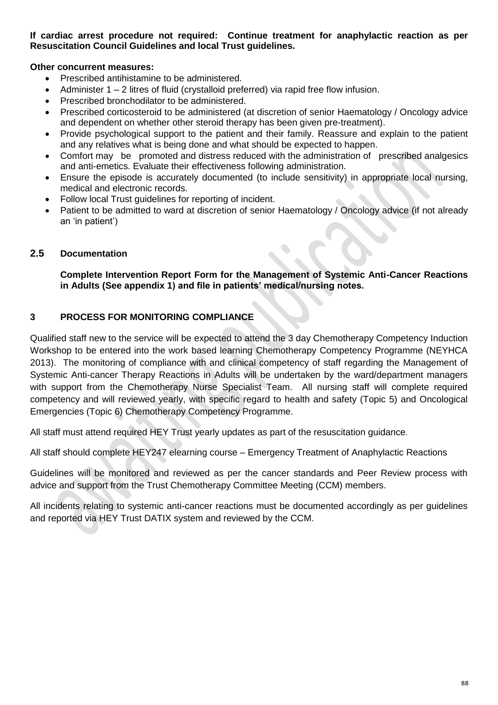**If cardiac arrest procedure not required: Continue treatment for anaphylactic reaction as per Resuscitation Council Guidelines and local Trust guidelines.**

## **Other concurrent measures:**

- Prescribed antihistamine to be administered.
- Administer 1 2 litres of fluid (crystalloid preferred) via rapid free flow infusion.
- Prescribed bronchodilator to be administered.
- Prescribed corticosteroid to be administered (at discretion of senior Haematology / Oncology advice and dependent on whether other steroid therapy has been given pre-treatment).
- Provide psychological support to the patient and their family. Reassure and explain to the patient and any relatives what is being done and what should be expected to happen.
- Comfort may be promoted and distress reduced with the administration of prescribed analgesics and anti-emetics. Evaluate their effectiveness following administration.
- Ensure the episode is accurately documented (to include sensitivity) in appropriate local nursing, medical and electronic records.
- Follow local Trust guidelines for reporting of incident.
- Patient to be admitted to ward at discretion of senior Haematology / Oncology advice (if not already an 'in patient')

## **2.5 Documentation**

**Complete Intervention Report Form for the Management of Systemic Anti-Cancer Reactions in Adults (See appendix 1) and file in patients' medical/nursing notes.**

## **3 PROCESS FOR MONITORING COMPLIANCE**

Qualified staff new to the service will be expected to attend the 3 day Chemotherapy Competency Induction Workshop to be entered into the work based learning Chemotherapy Competency Programme (NEYHCA 2013).The monitoring of compliance with and clinical competency of staff regarding the Management of Systemic Anti-cancer Therapy Reactions in Adults will be undertaken by the ward/department managers with support from the Chemotherapy Nurse Specialist Team. All nursing staff will complete required competency and will reviewed yearly, with specific regard to health and safety (Topic 5) and Oncological Emergencies (Topic 6) Chemotherapy Competency Programme.

All staff must attend required HEY Trust yearly updates as part of the resuscitation guidance.

All staff should complete HEY247 elearning course – Emergency Treatment of Anaphylactic Reactions

Guidelines will be monitored and reviewed as per the cancer standards and Peer Review process with advice and support from the Trust Chemotherapy Committee Meeting (CCM) members.

All incidents relating to systemic anti-cancer reactions must be documented accordingly as per guidelines and reported via HEY Trust DATIX system and reviewed by the CCM.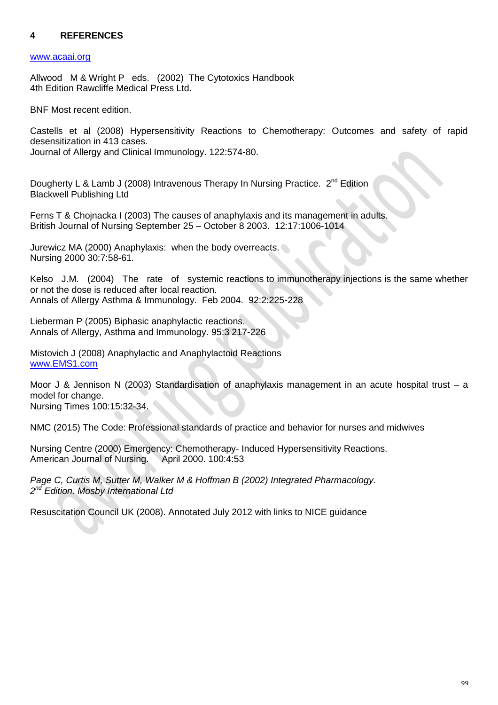## **4 REFERENCES**

#### [www.acaai.org](http://www.acaai.org/)

Allwood M & Wright P eds. (2002) The Cytotoxics Handbook 4th Edition Rawcliffe Medical Press Ltd.

BNF Most recent edition.

Castells et al (2008) Hypersensitivity Reactions to Chemotherapy: Outcomes and safety of rapid desensitization in 413 cases. Journal of Allergy and Clinical Immunology. 122:574-80.

Dougherty L & Lamb J (2008) Intravenous Therapy In Nursing Practice. 2<sup>nd</sup> Edition Blackwell Publishing Ltd

Ferns T & Chojnacka I (2003) The causes of anaphylaxis and its management in adults. British Journal of Nursing September 25 – October 8 2003. 12:17:1006-1014

Jurewicz MA (2000) Anaphylaxis: when the body overreacts. Nursing 2000 30:7:58-61.

Kelso J.M. (2004) The rate of systemic reactions to immunotherapy injections is the same whether or not the dose is reduced after local reaction. Annals of Allergy Asthma & Immunology. Feb 2004. 92:2:225-228

Lieberman P (2005) Biphasic anaphylactic reactions. Annals of Allergy, Asthma and Immunology. 95:3 217-226

Mistovich J (2008) Anaphylactic and Anaphylactoid Reactions [www.EMS1.com](http://www.ems1.com/)

Moor J & Jennison N (2003) Standardisation of anaphylaxis management in an acute hospital trust – a model for change. Nursing Times 100:15:32-34.

NMC (2015) The Code: Professional standards of practice and behavior for nurses and midwives

Nursing Centre (2000) Emergency: Chemotherapy- Induced Hypersensitivity Reactions. American Journal of Nursing. April 2000. 100:4:53

*Page C, Curtis M, Sutter M, Walker M & Hoffman B (2002) Integrated Pharmacology. 2 nd Edition. Mosby International Ltd*

Resuscitation Council UK (2008). Annotated July 2012 with links to NICE guidance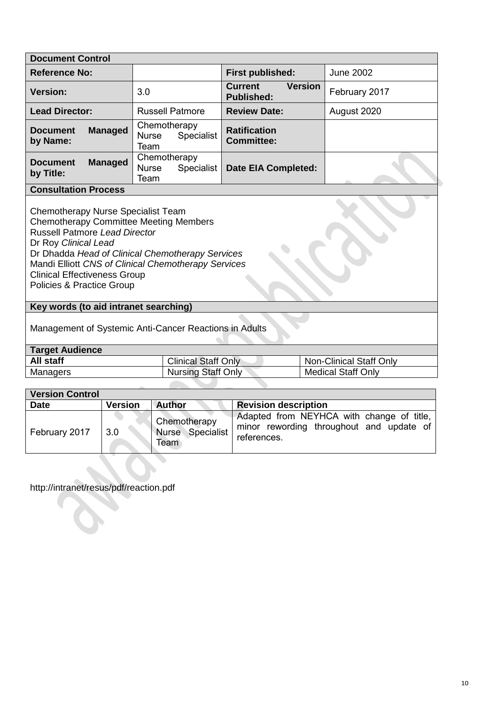| <b>Document Control</b>                        |                                                           |                                                       |                  |
|------------------------------------------------|-----------------------------------------------------------|-------------------------------------------------------|------------------|
| <b>Reference No:</b>                           |                                                           | <b>First published:</b>                               | <b>June 2002</b> |
| <b>Version:</b>                                | 3.0                                                       | <b>Version</b><br><b>Current</b><br><b>Published:</b> | February 2017    |
| <b>Lead Director:</b>                          | <b>Russell Patmore</b>                                    | <b>Review Date:</b>                                   | August 2020      |
| <b>Managed</b><br><b>Document</b><br>by Name:  | Chemotherapy<br><b>Specialist</b><br><b>Nurse</b><br>Team | <b>Ratification</b><br><b>Committee:</b>              |                  |
| <b>Managed</b><br><b>Document</b><br>by Title: | Chemotherapy<br><b>Nurse</b><br><b>Specialist</b><br>Team | <b>Date EIA Completed:</b>                            |                  |
| <b>Consultation Process</b>                    |                                                           |                                                       |                  |

Chemotherapy Nurse Specialist Team Chemotherapy Committee Meeting Members Russell Patmore *Lead Director* Dr Roy *Clinical Lead* Dr Dhadda *Head of Clinical Chemotherapy Services* Mandi Elliott *CNS of Clinical Chemotherapy Services* Clinical Effectiveness Group Policies & Practice Group

**Key words (to aid intranet searching)**

Management of Systemic Anti-Cancer Reactions in Adults

## **Target Audience**

| <b>All staff</b> | <b>Clinical Staff Only</b> | Non-Clinical Staff Only   |
|------------------|----------------------------|---------------------------|
| Managers         | <b>Nursing Staff Only</b>  | <b>Medical Staff Only</b> |

## **Version Control**

| <b>Date</b>   | <b>Version</b> | <b>Author</b>                            | <b>Revision description</b>                                                                          |
|---------------|----------------|------------------------------------------|------------------------------------------------------------------------------------------------------|
| February 2017 | 3.0            | Chemotherapy<br>Nurse Specialist<br>Team | Adapted from NEYHCA with change of title,<br>minor rewording throughout and update of<br>references. |

http://intranet/resus/pdf/reaction.pdf